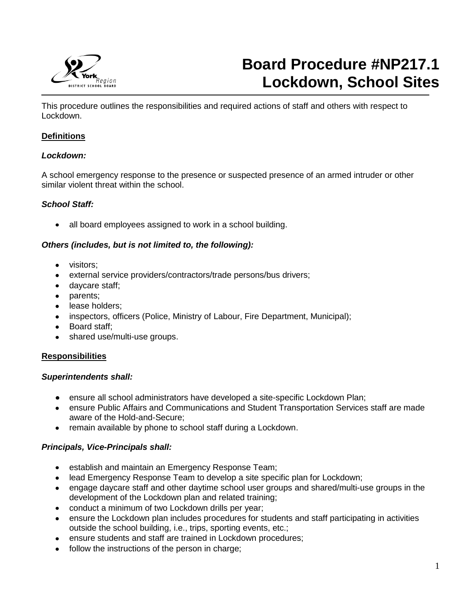

# **Board Procedure #NP217.1 Lockdown, School Sites**

This procedure outlines the responsibilities and required actions of staff and others with respect to Lockdown.

## **Definitions**

j

#### *Lockdown:*

A school emergency response to the presence or suspected presence of an armed intruder or other similar violent threat within the school.

### *School Staff:*

• all board employees assigned to work in a school building.

### *Others (includes, but is not limited to, the following):*

- visitors:
- external service providers/contractors/trade persons/bus drivers;
- daycare staff;
- parents;
- lease holders;
- inspectors, officers (Police, Ministry of Labour, Fire Department, Municipal);
- Board staff;
- shared use/multi-use groups.

#### **Responsibilities**

#### *Superintendents shall:*

- ensure all school administrators have developed a site-specific Lockdown Plan;
- ensure Public Affairs and Communications and Student Transportation Services staff are made aware of the Hold-and-Secure;
- remain available by phone to school staff during a Lockdown.

### *Principals, Vice-Principals shall:*

- **e** establish and maintain an Emergency Response Team;
- lead Emergency Response Team to develop a site specific plan for Lockdown;
- engage daycare staff and other daytime school user groups and shared/multi-use groups in the development of the Lockdown plan and related training;
- conduct a minimum of two Lockdown drills per year;
- ensure the Lockdown plan includes procedures for students and staff participating in activities outside the school building, i.e., trips, sporting events, etc.;
- ensure students and staff are trained in Lockdown procedures;
- follow the instructions of the person in charge;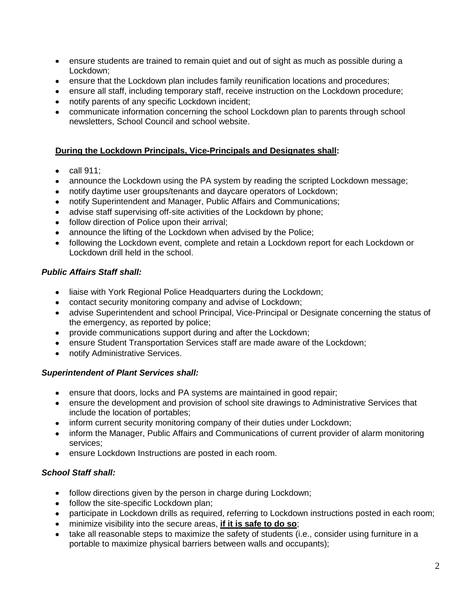- ensure students are trained to remain quiet and out of sight as much as possible during a Lockdown;
- ensure that the Lockdown plan includes family reunification locations and procedures;
- ensure all staff, including temporary staff, receive instruction on the Lockdown procedure;
- notify parents of any specific Lockdown incident;
- communicate information concerning the school Lockdown plan to parents through school newsletters, School Council and school website.

## **During the Lockdown Principals, Vice-Principals and Designates shall:**

- $\bullet$  call 911:
- announce the Lockdown using the PA system by reading the scripted Lockdown message;
- notify daytime user groups/tenants and daycare operators of Lockdown;
- notify Superintendent and Manager, Public Affairs and Communications;
- advise staff supervising off-site activities of the Lockdown by phone;
- follow direction of Police upon their arrival;
- announce the lifting of the Lockdown when advised by the Police;
- following the Lockdown event, complete and retain a Lockdown report for each Lockdown or Lockdown drill held in the school.

### *Public Affairs Staff shall:*

- liaise with York Regional Police Headquarters during the Lockdown;
- contact security monitoring company and advise of Lockdown;
- advise Superintendent and school Principal, Vice-Principal or Designate concerning the status of the emergency, as reported by police;
- provide communications support during and after the Lockdown;
- ensure Student Transportation Services staff are made aware of the Lockdown;
- notify Administrative Services.

### *Superintendent of Plant Services shall:*

- ensure that doors, locks and PA systems are maintained in good repair;
- ensure the development and provision of school site drawings to Administrative Services that include the location of portables;
- inform current security monitoring company of their duties under Lockdown;
- inform the Manager, Public Affairs and Communications of current provider of alarm monitoring services;
- ensure Lockdown Instructions are posted in each room.

### *School Staff shall:*

- follow directions given by the person in charge during Lockdown;
- follow the site-specific Lockdown plan;
- participate in Lockdown drills as required, referring to Lockdown instructions posted in each room;
- minimize visibility into the secure areas, **if it is safe to do so**;
- take all reasonable steps to maximize the safety of students (i.e., consider using furniture in a portable to maximize physical barriers between walls and occupants);